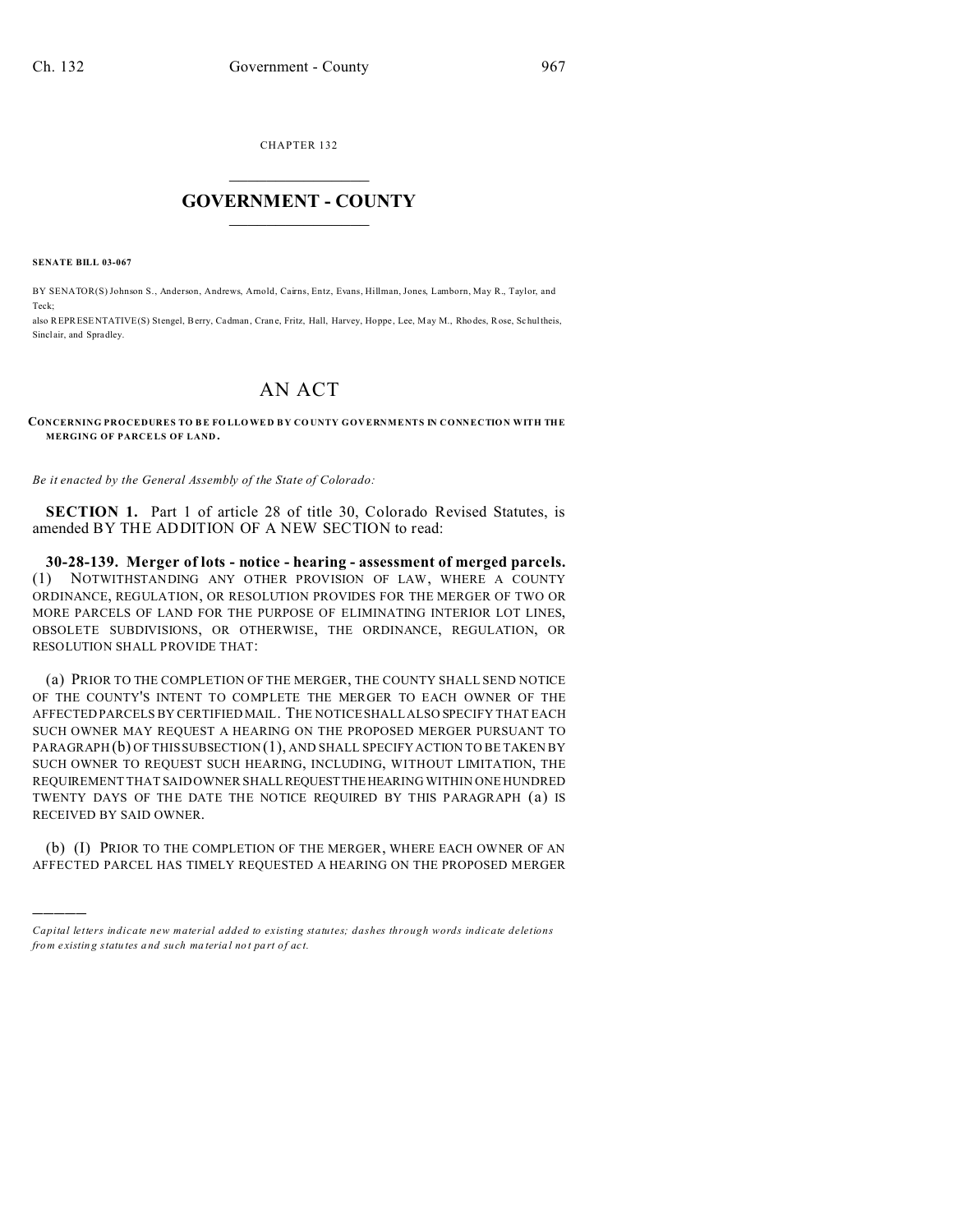CHAPTER 132  $\overline{\phantom{a}}$  , where  $\overline{\phantom{a}}$ 

## **GOVERNMENT - COUNTY**  $\_$

**SENATE BILL 03-067**

)))))

BY SENATOR(S) Johnson S., Anderson, Andrews, Arnold, Cairns, Entz, Evans, Hillman, Jones, Lamborn, May R., Taylor, and Teck;

also REPRESENTATIVE(S) Stengel, Berry, Cadman, Crane, Fritz, Hall, Harvey, Hoppe, Lee, May M., Rhodes, Rose, Schultheis, Sinclair, and Spradley.

## AN ACT

## **CONCERNING PROCEDURES TO B E FO LLO WE D B Y CO UNTY GOVERNMENTS IN CONNECTION WITH THE MERGING OF PARCELS OF LAND.**

*Be it enacted by the General Assembly of the State of Colorado:*

**SECTION 1.** Part 1 of article 28 of title 30, Colorado Revised Statutes, is amended BY THE ADDITION OF A NEW SECTION to read:

**30-28-139. Merger of lots - notice - hearing - assessment of merged parcels.** (1) NOTWITHSTANDING ANY OTHER PROVISION OF LAW, WHERE A COUNTY ORDINANCE, REGULATION, OR RESOLUTION PROVIDES FOR THE MERGER OF TWO OR MORE PARCELS OF LAND FOR THE PURPOSE OF ELIMINATING INTERIOR LOT LINES, OBSOLETE SUBDIVISIONS, OR OTHERWISE, THE ORDINANCE, REGULATION, OR RESOLUTION SHALL PROVIDE THAT:

(a) PRIOR TO THE COMPLETION OF THE MERGER, THE COUNTY SHALL SEND NOTICE OF THE COUNTY'S INTENT TO COMPLETE THE MERGER TO EACH OWNER OF THE AFFECTED PARCELS BY CERTIFIED MAIL. THE NOTICE SHALL ALSO SPECIFY THAT EACH SUCH OWNER MAY REQUEST A HEARING ON THE PROPOSED MERGER PURSUANT TO PARAGRAPH (b) OF THIS SUBSECTION (1), AND SHALL SPECIFY ACTION TO BE TAKEN BY SUCH OWNER TO REQUEST SUCH HEARING, INCLUDING, WITHOUT LIMITATION, THE REQUIREMENT THAT SAID OWNER SHALLREQUESTTHEHEARING WITHIN ONE HUNDRED TWENTY DAYS OF THE DATE THE NOTICE REQUIRED BY THIS PARAGRAPH (a) IS RECEIVED BY SAID OWNER.

(b) (I) PRIOR TO THE COMPLETION OF THE MERGER, WHERE EACH OWNER OF AN AFFECTED PARCEL HAS TIMELY REQUESTED A HEARING ON THE PROPOSED MERGER

*Capital letters indicate new material added to existing statutes; dashes through words indicate deletions from e xistin g statu tes a nd such ma teria l no t pa rt of ac t.*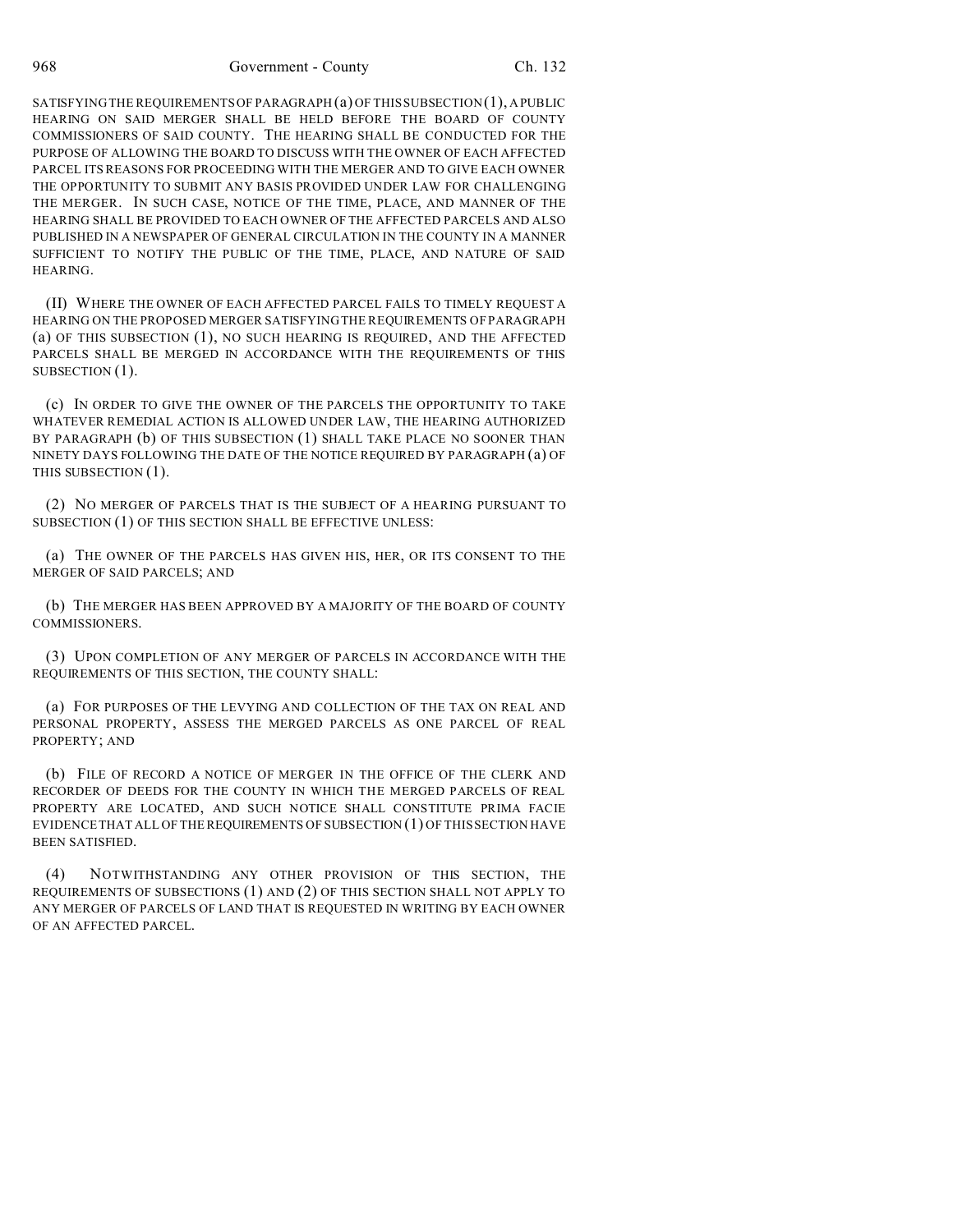968 Government - County Ch. 132

SATISFYING THE REQUIREMENTS OF PARAGRAPH (a) OF THIS SUBSECTION (1), A PUBLIC HEARING ON SAID MERGER SHALL BE HELD BEFORE THE BOARD OF COUNTY COMMISSIONERS OF SAID COUNTY. THE HEARING SHALL BE CONDUCTED FOR THE PURPOSE OF ALLOWING THE BOARD TO DISCUSS WITH THE OWNER OF EACH AFFECTED PARCEL ITS REASONS FOR PROCEEDING WITH THE MERGER AND TO GIVE EACH OWNER THE OPPORTUNITY TO SUBMIT ANY BASIS PROVIDED UNDER LAW FOR CHALLENGING THE MERGER. IN SUCH CASE, NOTICE OF THE TIME, PLACE, AND MANNER OF THE HEARING SHALL BE PROVIDED TO EACH OWNER OF THE AFFECTED PARCELS AND ALSO PUBLISHED IN A NEWSPAPER OF GENERAL CIRCULATION IN THE COUNTY IN A MANNER SUFFICIENT TO NOTIFY THE PUBLIC OF THE TIME, PLACE, AND NATURE OF SAID HEARING.

(II) WHERE THE OWNER OF EACH AFFECTED PARCEL FAILS TO TIMELY REQUEST A HEARING ON THE PROPOSED MERGER SATISFYING THE REQUIREMENTS OF PARAGRAPH (a) OF THIS SUBSECTION (1), NO SUCH HEARING IS REQUIRED, AND THE AFFECTED PARCELS SHALL BE MERGED IN ACCORDANCE WITH THE REQUIREMENTS OF THIS SUBSECTION  $(1)$ .

(c) IN ORDER TO GIVE THE OWNER OF THE PARCELS THE OPPORTUNITY TO TAKE WHATEVER REMEDIAL ACTION IS ALLOWED UNDER LAW, THE HEARING AUTHORIZED BY PARAGRAPH (b) OF THIS SUBSECTION (1) SHALL TAKE PLACE NO SOONER THAN NINETY DAYS FOLLOWING THE DATE OF THE NOTICE REQUIRED BY PARAGRAPH (a) OF THIS SUBSECTION (1).

(2) NO MERGER OF PARCELS THAT IS THE SUBJECT OF A HEARING PURSUANT TO SUBSECTION (1) OF THIS SECTION SHALL BE EFFECTIVE UNLESS:

(a) THE OWNER OF THE PARCELS HAS GIVEN HIS, HER, OR ITS CONSENT TO THE MERGER OF SAID PARCELS; AND

(b) THE MERGER HAS BEEN APPROVED BY A MAJORITY OF THE BOARD OF COUNTY COMMISSIONERS.

(3) UPON COMPLETION OF ANY MERGER OF PARCELS IN ACCORDANCE WITH THE REQUIREMENTS OF THIS SECTION, THE COUNTY SHALL:

(a) FOR PURPOSES OF THE LEVYING AND COLLECTION OF THE TAX ON REAL AND PERSONAL PROPERTY, ASSESS THE MERGED PARCELS AS ONE PARCEL OF REAL PROPERTY; AND

(b) FILE OF RECORD A NOTICE OF MERGER IN THE OFFICE OF THE CLERK AND RECORDER OF DEEDS FOR THE COUNTY IN WHICH THE MERGED PARCELS OF REAL PROPERTY ARE LOCATED, AND SUCH NOTICE SHALL CONSTITUTE PRIMA FACIE EVIDENCE THAT ALL OF THE REQUIREMENTS OF SUBSECTION (1) OF THIS SECTION HAVE BEEN SATISFIED.

(4) NOTWITHSTANDING ANY OTHER PROVISION OF THIS SECTION, THE REQUIREMENTS OF SUBSECTIONS (1) AND (2) OF THIS SECTION SHALL NOT APPLY TO ANY MERGER OF PARCELS OF LAND THAT IS REQUESTED IN WRITING BY EACH OWNER OF AN AFFECTED PARCEL.